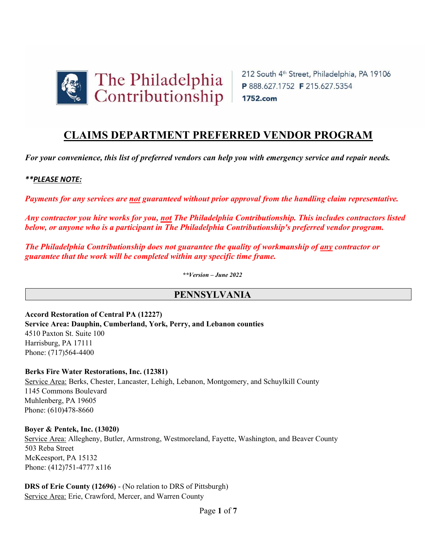

# **CLAIMS DEPARTMENT PREFERRED VENDOR PROGRAM**

*For your convenience, this list of preferred vendors can help you with emergency service and repair needs.* 

## *\*\*PLEASE NOTE:*

*Payments for any services are not guaranteed without prior approval from the handling claim representative.* 

*Any contractor you hire works for you, not The Philadelphia Contributionship. This includes contractors listed below, or anyone who is a participant in The Philadelphia Contributionship's preferred vendor program.* 

*The Philadelphia Contributionship does not guarantee the quality of workmanship of any contractor or guarantee that the work will be completed within any specific time frame.* 

*\*\*Version – June 2022* 

## **PENNSYLVANIA**

**Accord Restoration of Central PA (12227) Service Area: Dauphin, Cumberland, York, Perry, and Lebanon counties**  4510 Paxton St. Suite 100 Harrisburg, PA 17111 Phone: (717)564-4400

## **Berks Fire Water Restorations, Inc. (12381)**

Service Area: Berks, Chester, Lancaster, Lehigh, Lebanon, Montgomery, and Schuylkill County 1145 Commons Boulevard Muhlenberg, PA 19605 Phone: (610)478-8660

#### **Boyer & Pentek, Inc. (13020)**

Service Area: Allegheny, Butler, Armstrong, Westmoreland, Fayette, Washington, and Beaver County 503 Reba Street McKeesport, PA 15132 Phone: (412)751-4777 x116

**DRS of Erie County (12696)** - (No relation to DRS of Pittsburgh) Service Area: Erie, Crawford, Mercer, and Warren County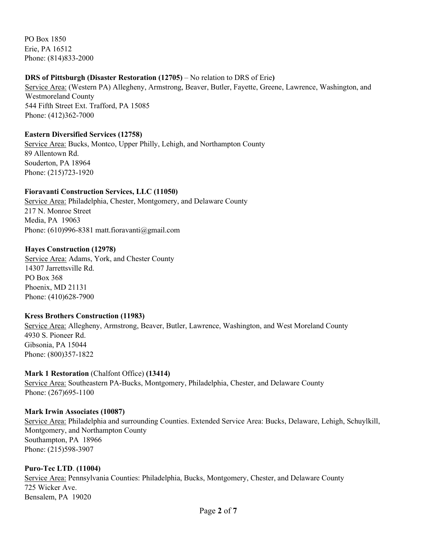PO Box 1850 Erie, PA 16512 Phone: (814)833-2000

## **DRS of Pittsburgh (Disaster Restoration (12705)** – No relation to DRS of Erie**)**

Service Area: (Western PA) Allegheny, Armstrong, Beaver, Butler, Fayette, Greene, Lawrence, Washington, and Westmoreland County 544 Fifth Street Ext. Trafford, PA 15085 Phone: (412)362-7000

## **Eastern Diversified Services (12758)**

Service Area: Bucks, Montco, Upper Philly, Lehigh, and Northampton County 89 Allentown Rd. Souderton, PA 18964 Phone: (215)723-1920

## **Fioravanti Construction Services, LLC (11050)**

Service Area: Philadelphia, Chester, Montgomery, and Delaware County 217 N. Monroe Street Media, PA 19063 Phone: (610)996-8381 matt.fioravanti@gmail.com

#### **Hayes Construction (12978)**

Service Area: Adams, York, and Chester County 14307 Jarrettsville Rd. PO Box 368 Phoenix, MD 21131 Phone: (410)628-7900

#### **Kress Brothers Construction (11983)**

Service Area: Allegheny, Armstrong, Beaver, Butler, Lawrence, Washington, and West Moreland County 4930 S. Pioneer Rd. Gibsonia, PA 15044 Phone: (800)357-1822

#### **Mark 1 Restoration** (Chalfont Office) **(13414)**

Service Area: Southeastern PA-Bucks, Montgomery, Philadelphia, Chester, and Delaware County Phone: (267)695-1100

**Mark Irwin Associates (10087)** Service Area: Philadelphia and surrounding Counties. Extended Service Area: Bucks, Delaware, Lehigh, Schuylkill, Montgomery, and Northampton County Southampton, PA 18966 Phone: (215)598-3907

## **Puro-Tec LTD**. **(11004)** Service Area: Pennsylvania Counties: Philadelphia, Bucks, Montgomery, Chester, and Delaware County 725 Wicker Ave. Bensalem, PA 19020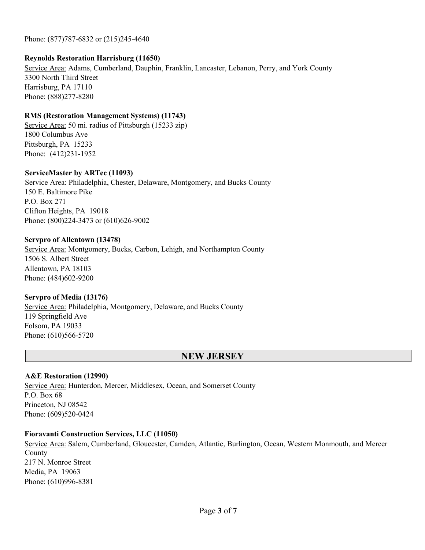Phone: (877)787-6832 or (215)245-4640

### **Reynolds Restoration Harrisburg (11650)**

Service Area: Adams, Cumberland, Dauphin, Franklin, Lancaster, Lebanon, Perry, and York County 3300 North Third Street Harrisburg, PA 17110 Phone: (888)277-8280

## **RMS (Restoration Management Systems) (11743)**

Service Area: 50 mi. radius of Pittsburgh (15233 zip) 1800 Columbus Ave Pittsburgh, PA 15233 Phone: (412)231-1952

#### **ServiceMaster by ARTec (11093)**

Service Area: Philadelphia, Chester, Delaware, Montgomery, and Bucks County 150 E. Baltimore Pike P.O. Box 271 Clifton Heights, PA 19018 Phone: (800)224-3473 or (610)626-9002

#### **Servpro of Allentown (13478)**

Service Area: Montgomery, Bucks, Carbon, Lehigh, and Northampton County 1506 S. Albert Street Allentown, PA 18103 Phone: (484)602-9200

## **Servpro of Media (13176)**

Service Area: Philadelphia, Montgomery, Delaware, and Bucks County 119 Springfield Ave Folsom, PA 19033 Phone: (610)566-5720

## **NEW JERSEY**

## **A&E Restoration (12990)**

Service Area: Hunterdon, Mercer, Middlesex, Ocean, and Somerset County P.O. Box 68 Princeton, NJ 08542 Phone: (609)520-0424

## **Fioravanti Construction Services, LLC (11050)**

Service Area: Salem, Cumberland, Gloucester, Camden, Atlantic, Burlington, Ocean, Western Monmouth, and Mercer County 217 N. Monroe Street Media, PA 19063 Phone: (610)996-8381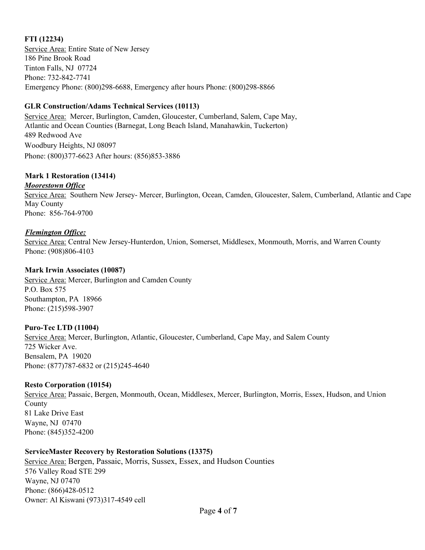## **FTI (12234)**

Service Area: Entire State of New Jersey 186 Pine Brook Road Tinton Falls, NJ 07724 Phone: 732-842-7741 Emergency Phone: (800)298-6688, Emergency after hours Phone: (800)298-8866

## **GLR Construction/Adams Technical Services (10113)**

Service Area:Mercer, Burlington, Camden, Gloucester, Cumberland, Salem, Cape May, Atlantic and Ocean Counties (Barnegat, Long Beach Island, Manahawkin, Tuckerton) 489 Redwood Ave Woodbury Heights, NJ 08097 Phone: (800)377-6623 After hours: (856)853-3886

## **Mark 1 Restoration (13414)**

## *Moorestown Office*

Service Area: Southern New Jersey- Mercer, Burlington, Ocean, Camden, Gloucester, Salem, Cumberland, Atlantic and Cape May County Phone: 856-764-9700

## *Flemington Office:*

Service Area: Central New Jersey-Hunterdon, Union, Somerset, Middlesex, Monmouth, Morris, and Warren County Phone: (908)806-4103

## **Mark Irwin Associates (10087)**

Service Area: Mercer, Burlington and Camden County P.O. Box 575 Southampton, PA 18966 Phone: (215)598-3907

## **Puro-Tec LTD (11004)**

Service Area: Mercer, Burlington, Atlantic, Gloucester, Cumberland, Cape May, and Salem County 725 Wicker Ave. Bensalem, PA 19020 Phone: (877)787-6832 or (215)245-4640

## **Resto Corporation (10154)**

Service Area: Passaic, Bergen, Monmouth, Ocean, Middlesex, Mercer, Burlington, Morris, Essex, Hudson, and Union County 81 Lake Drive East Wayne, NJ 07470 Phone: (845)352-4200

## **ServiceMaster Recovery by Restoration Solutions (13375)**

Service Area: Bergen, Passaic, Morris, Sussex, Essex, and Hudson Counties 576 Valley Road STE 299 Wayne, NJ 07470 Phone: (866)428-0512 Owner: Al Kiswani (973)317-4549 cell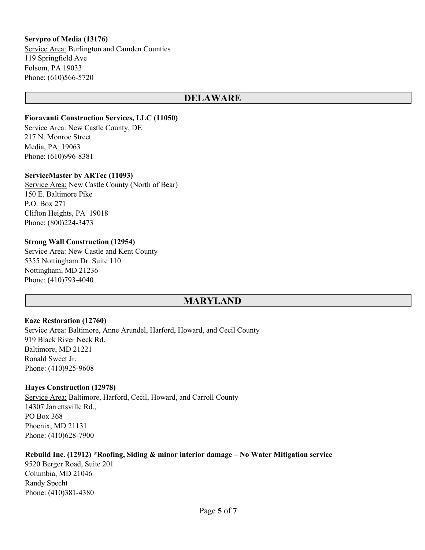### **Servpro of Media (13176)**

Service Area: Burlington and Camden Counties 119 Springfield Ave Folsom, PA 19033 Phone: (610)566-5720

## **DELAWARE**

#### **Fioravanti Construction Services, LLC (11050)**

Service Area: New Castle County, DE 217 N. Monroe Street Media, PA 19063 Phone: (610)996-8381

#### **ServiceMaster by ARTec (11093)**

Service Area: New Castle County (North of Bear) 150 E. Baltimore Pike P.O. Box 271 Clifton Heights, PA 19018 Phone: (800)224-3473

#### **Strong Wall Construction (12954)**

Service Area: New Castle and Kent County 5355 Nottingham Dr. Suite 110 Nottingham, MD 21236 Phone: (410)793-4040

## **MARYLAND**

#### **Eaze Restoration (12760)**

Service Area: Baltimore, Anne Arundel, Harford, Howard, and Cecil County 919 Black River Neck Rd. Baltimore, MD 21221 Ronald Sweet Jr. Phone: (410)925-9608

#### **Hayes Construction (12978)**

Service Area: Baltimore, Harford, Cecil, Howard, and Carroll County 14307 Jarrettsville Rd., PO Box 368 Phoenix, MD 21131 Phone: (410)628-7900

#### **Rebuild Inc. (12912) \*Roofing, Siding & minor interior damage – No Water Mitigation service**

9520 Berger Road, Suite 201 Columbia, MD 21046 Randy Specht Phone: (410)381-4380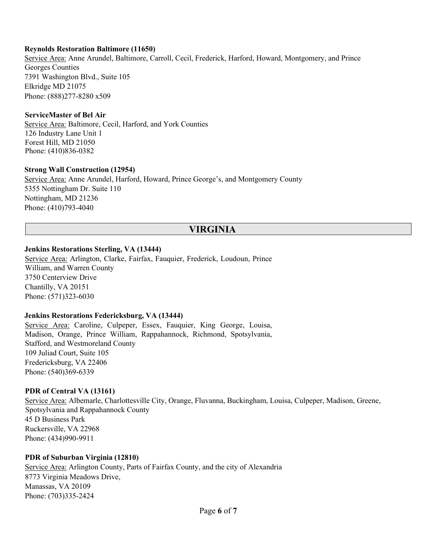#### **Reynolds Restoration Baltimore (11650)**

Service Area: Anne Arundel, Baltimore, Carroll, Cecil, Frederick, Harford, Howard, Montgomery, and Prince Georges Counties 7391 Washington Blvd., Suite 105 Elkridge MD 21075 Phone: (888)277-8280 x509

#### **ServiceMaster of Bel Air**

Service Area: Baltimore, Cecil, Harford, and York Counties 126 Industry Lane Unit 1 Forest Hill, MD 21050 Phone: (410)836-0382

#### **Strong Wall Construction (12954)**

Service Area: Anne Arundel, Harford, Howard, Prince George's, and Montgomery County 5355 Nottingham Dr. Suite 110 Nottingham, MD 21236 Phone: (410)793-4040

## **VIRGINIA**

#### **Jenkins Restorations Sterling, VA (13444)**

Service Area: Arlington, Clarke, Fairfax, Fauquier, Frederick, Loudoun, Prince William, and Warren County 3750 Centerview Drive Chantilly, VA 20151 Phone: (571)323-6030

#### **Jenkins Restorations Federicksburg, VA (13444)**

Service Area: Caroline, Culpeper, Essex, Fauquier, King George, Louisa, Madison, Orange, Prince William, Rappahannock, Richmond, Spotsylvania, Stafford, and Westmoreland County 109 Juliad Court, Suite 105 Fredericksburg, VA 22406 Phone: (540)369-6339

#### **PDR of Central VA (13161)**

Service Area: Albemarle, Charlottesville City, Orange, Fluvanna, Buckingham, Louisa, Culpeper, Madison, Greene, Spotsylvania and Rappahannock County 45 D Business Park Ruckersville, VA 22968 Phone: (434)990-9911

#### **PDR of Suburban Virginia (12810)**

Service Area: Arlington County, Parts of Fairfax County, and the city of Alexandria 8773 Virginia Meadows Drive, Manassas, VA 20109 Phone: (703)335-2424